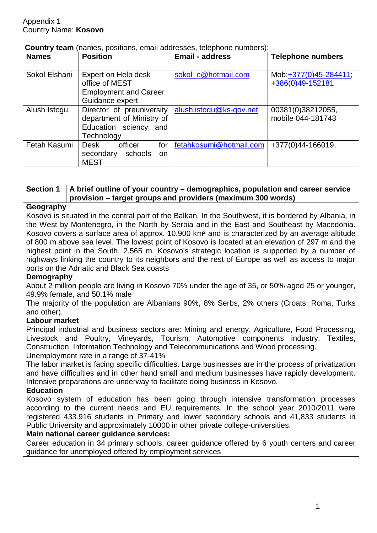| <b>Names</b>  | <b>Position</b>                                                                                  | <b>Email - address</b>  | <b>Telephone numbers</b>                   |
|---------------|--------------------------------------------------------------------------------------------------|-------------------------|--------------------------------------------|
| Sokol Elshani | Expert on Help desk<br>office of MEST<br><b>Employment and Career</b><br>Guidance expert         | sokol_e@hotmail.com     | Mob: +377(0)45-284411;<br>+386(0)49-152181 |
| Alush Istogu  | Director of preuniversity<br>department of Ministry of<br>Education sciency<br>and<br>Technology | alush.istogu@ks-gov.net | 00381(0)38212055,<br>mobile 044-181743     |
| Fetah Kasumi  | officer<br><b>Desk</b><br>for<br>secondary<br>schools<br>on.<br><b>MEST</b>                      | fetahkosumi@hotmail.com | +377(0)44-166019,                          |

#### **Country team** (names, positions, email addresses, telephone numbers):

## **Section 1 A brief outline of your country – demographics, population and career service provision – target groups and providers (maximum 300 words)**

#### **Geography**

Kosovo is situated in the central part of the Balkan. In the Southwest, it is bordered by Albania, in the West by Montenegro, in the North by Serbia and in the East and Southeast by Macedonia. Kosovo covers a surface area of approx. 10.900 km² and is characterized by an average altitude of 800 m above sea level. The lowest point of Kosovo is located at an elevation of 297 m and the highest point in the South, 2.565 m. Kosovo's strategic location is supported by a number of highways linking the country to its neighbors and the rest of Europe as well as access to major ports on the Adriatic and Black Sea coasts

## **Demography**

About 2 million people are living in Kosovo 70% under the age of 35, or 50% aged 25 or younger, 49.9% female, and 50.1% male

The majority of the population are Albanians 90%, 8% Serbs, 2% others (Croats, Roma, Turks and other).

## **Labour market**

Principal industrial and business sectors are: Mining and energy, Agriculture, Food Processing, Livestock and Poultry, Vineyards, Tourism, Automotive components industry, Textiles, Construction, Information Technology and Telecommunications and Wood processing. Unemployment rate in a range of 37-41%

The labor market is facing specific difficulties. Large businesses are in the process of privatization and have difficulties and in other hand small and medium businesses have rapidly development. Intensive preparations are underway to facilitate doing business in Kosovo.

## **Education**

Kosovo system of education has been going through intensive transformation processes according to the current needs and EU requirements. In the school year 2010/2011 were registered 433.916 students in Primary and lower secondary schools and 41,833 students in Public University and approximately 10000 in other private college-universities.

## **Main national career guidance services:**

Career education in 34 primary schools, career guidance offered by 6 youth centers and career guidance for unemployed offered by employment services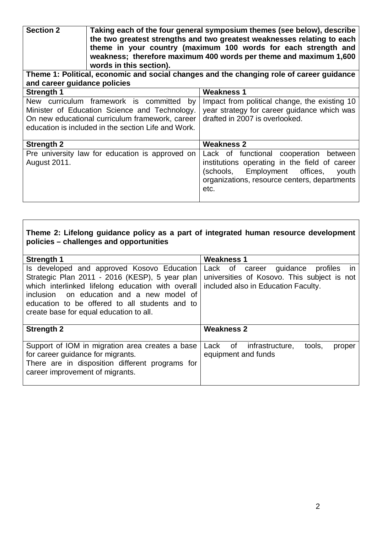**Section 2 Taking each of the four general symposium themes (see below), describe the two greatest strengths and two greatest weaknesses relating to each theme in your country (maximum 100 words for each strength and weakness; therefore maximum 400 words per theme and maximum 1,600 words in this section).**

**Theme 1: Political, economic and social changes and the changing role of career guidance and career guidance policies**

| <b>Strength 1</b>                                                                                                                                                                                                | <b>Weakness 1</b>                                                                                                                                                                            |  |
|------------------------------------------------------------------------------------------------------------------------------------------------------------------------------------------------------------------|----------------------------------------------------------------------------------------------------------------------------------------------------------------------------------------------|--|
| curriculum framework is committed<br><b>New</b><br>by<br>Minister of Education Science and Technology.<br>On new educational curriculum framework, career<br>education is included in the section Life and Work. | Impact from political change, the existing 10<br>year strategy for career guidance which was<br>drafted in 2007 is overlooked.                                                               |  |
| <b>Strength 2</b>                                                                                                                                                                                                | <b>Weakness 2</b>                                                                                                                                                                            |  |
| Pre university law for education is approved on<br>August 2011.                                                                                                                                                  | Lack of functional cooperation between<br>institutions operating in the field of career<br>Employment offices,<br>(schools,<br>youth<br>organizations, resource centers, departments<br>etc. |  |

## **Theme 2: Lifelong guidance policy as a part of integrated human resource development policies – challenges and opportunities**

| <b>Strength 1</b>                                                                                                                                                                                                                                                                           | <b>Weakness 1</b>                                                                                                                          |
|---------------------------------------------------------------------------------------------------------------------------------------------------------------------------------------------------------------------------------------------------------------------------------------------|--------------------------------------------------------------------------------------------------------------------------------------------|
| Is developed and approved Kosovo Education<br>Strategic Plan 2011 - 2016 (KESP), 5 year plan<br>which interlinked lifelong education with overall<br>inclusion on education and a new model of<br>education to be offered to all students and to<br>create base for equal education to all. | career guidance profiles<br>Lack of<br>$\mathsf{In}$<br>universities of Kosovo. This subject is not<br>included also in Education Faculty. |
| <b>Strength 2</b>                                                                                                                                                                                                                                                                           | <b>Weakness 2</b>                                                                                                                          |
| Support of IOM in migration area creates a base<br>for career guidance for migrants.<br>There are in disposition different programs for<br>career improvement of migrants.                                                                                                                  | tools,<br>infrastructure.<br>Lack of<br>proper<br>equipment and funds                                                                      |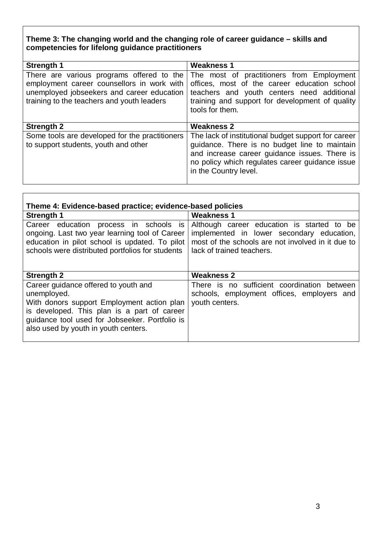# **Theme 3: The changing world and the changing role of career guidance – skills and competencies for lifelong guidance practitioners**

| <b>Strength 1</b>                                                                                                                                                                   | <b>Weakness 1</b>                                                                                                                                                                                                                 |  |
|-------------------------------------------------------------------------------------------------------------------------------------------------------------------------------------|-----------------------------------------------------------------------------------------------------------------------------------------------------------------------------------------------------------------------------------|--|
| There are various programs offered to the<br>employment career counsellors in work with<br>unemployed jobseekers and career education<br>training to the teachers and youth leaders | The most of practitioners from Employment<br>offices, most of the career education school<br>teachers and youth centers need additional<br>training and support for development of quality<br>tools for them.                     |  |
| <b>Strength 2</b>                                                                                                                                                                   | <b>Weakness 2</b>                                                                                                                                                                                                                 |  |
| Some tools are developed for the practitioners<br>to support students, youth and other                                                                                              | The lack of institutional budget support for career<br>guidance. There is no budget line to maintain<br>and increase career guidance issues. There is<br>no policy which regulates career guidance issue<br>in the Country level. |  |

| Theme 4: Evidence-based practice; evidence-based policies                                                                                                                                                                                  |                                                                                                                                                                           |  |
|--------------------------------------------------------------------------------------------------------------------------------------------------------------------------------------------------------------------------------------------|---------------------------------------------------------------------------------------------------------------------------------------------------------------------------|--|
| <b>Strength 1</b>                                                                                                                                                                                                                          | <b>Weakness 1</b>                                                                                                                                                         |  |
| Career education process in schools is<br>ongoing. Last two year learning tool of Career<br>education in pilot school is updated. To pilot<br>schools were distributed portfolios for students                                             | Although career education is started to be<br>implemented in lower secondary education,<br>most of the schools are not involved in it due to<br>lack of trained teachers. |  |
| <b>Strength 2</b>                                                                                                                                                                                                                          | <b>Weakness 2</b>                                                                                                                                                         |  |
| Career guidance offered to youth and<br>unemployed.<br>With donors support Employment action plan<br>is developed. This plan is a part of career<br>guidance tool used for Jobseeker. Portfolio is<br>also used by youth in youth centers. | There is no sufficient coordination between<br>schools, employment offices, employers and<br>youth centers.                                                               |  |

٦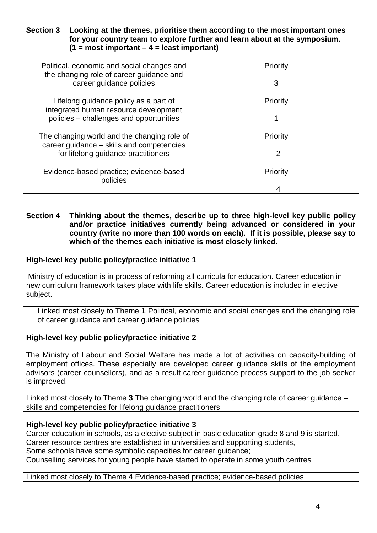| <b>Section 3</b><br>Looking at the themes, prioritise them according to the most important ones<br>for your country team to explore further and learn about at the symposium.<br>$(1 = most important - 4 = least important)$ |               |  |
|-------------------------------------------------------------------------------------------------------------------------------------------------------------------------------------------------------------------------------|---------------|--|
| Political, economic and social changes and<br>the changing role of career guidance and<br>career guidance policies                                                                                                            | Priority<br>3 |  |
| Lifelong guidance policy as a part of<br>integrated human resource development<br>policies - challenges and opportunities                                                                                                     | Priority      |  |
| The changing world and the changing role of<br>career guidance - skills and competencies<br>for lifelong guidance practitioners                                                                                               | Priority<br>2 |  |
| Evidence-based practice; evidence-based<br>policies                                                                                                                                                                           | Priority      |  |

#### **Section 4 Thinking about the themes, describe up to three high-level key public policy and/or practice initiatives currently being advanced or considered in your country (write no more than 100 words on each). If it is possible, please say to which of the themes each initiative is most closely linked.**

## **High-level key public policy/practice initiative 1**

Ministry of education is in process of reforming all curricula for education. Career education in new curriculum framework takes place with life skills. Career education is included in elective subject.

Linked most closely to Theme **1** Political, economic and social changes and the changing role of career guidance and career guidance policies

#### **High-level key public policy/practice initiative 2**

The Ministry of Labour and Social Welfare has made a lot of activities on capacity-building of employment offices. These especially are developed career guidance skills of the employment advisors (career counsellors), and as a result career guidance process support to the job seeker is improved.

Linked most closely to Theme **3** The changing world and the changing role of career guidance – skills and competencies for lifelong guidance practitioners

#### **High-level key public policy/practice initiative 3**

Career education in schools, as a elective subject in basic education grade 8 and 9 is started. Career resource centres are established in universities and supporting students, Some schools have some symbolic capacities for career guidance; Counselling services for young people have started to operate in some youth centres

#### Linked most closely to Theme **4** Evidence-based practice; evidence-based policies